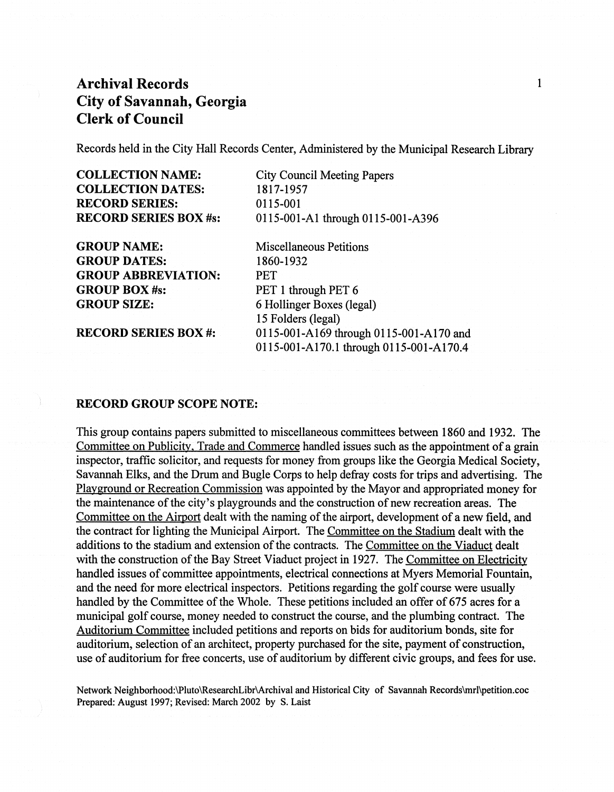Records held in the City Hall Records Center, Administered by the Municipal Research Library

| <b>COLLECTION NAME:</b>      |
|------------------------------|
| <b>COLLECTION DATES:</b>     |
| <b>RECORD SERIES:</b>        |
| <b>RECORD SERIES BOX #s:</b> |

GROUP NAME: GROUP DATES: GROUP ABBREVIATION: GROUP BOX #8: GROUP SIZE:

RECORD SERIES BOX #:

City Council Meeting Papers 1817-1957 0115-001 0115-001-A1 through 0115-001-A396

Miscellaneous Petitions 1860-1932 PET PET 1 through PET 6 6 Hollinger Boxes (legal) 15 Folders (legal) 0115-001-A169 through 0115-001-A170 and 0115-001-AI70.1 through 0115-001-AI70.4

#### RECORD GROUP SCOPE NOTE:

This group contains papers submitted to miscellaneous committees between 1860 and 1932. The Committee on Publicity, Trade and Commerce handled issues such as the appointment of a grain inspector, traffic solicitor, and requests for money from groups like the Georgia Medical Society, Savannah Elks, and the Drum and Bugle Corps to help defray costs for trips and advertising. The Playground or Recreation Commission was appointed by the Mayor and appropriated money for the maintenance of the city's playgrounds and the construction of new recreation areas. The Committee on the Airport dealt with the naming of the airport, development of a new field, and the contract for lighting the Municipal Airport. The Committee on the Stadium dealt with the additions to the stadium and extension of the contracts. The Committee on the Viaduct dealt with the construction of the Bay Street Viaduct project in 1927. The Committee on Electricity handled issues of committee appointments, electrical connections at Myers Memorial Fountain, and the need for more electrical inspectors. Petitions regarding the golf course were usually handled by the Committee of the Whole. These petitions included an offer of 675 acres for a municipal golf course, money needed to construct the course, and the plumbing contract. The Auditorium Committee included petitions and reports on bids for auditorium bonds, site for auditorium, selection of an architect, property purchased for the site, payment of construction, use of auditorium for free concerts, use of auditorium by different civic groups, and fees for use.

Network Neighborhood:\Pluto\ResearchLibr\Archival and Historical City of Savannah Records\mrl\petition.coc Prepared: August 1997; Revised: March 2002 by S. Laist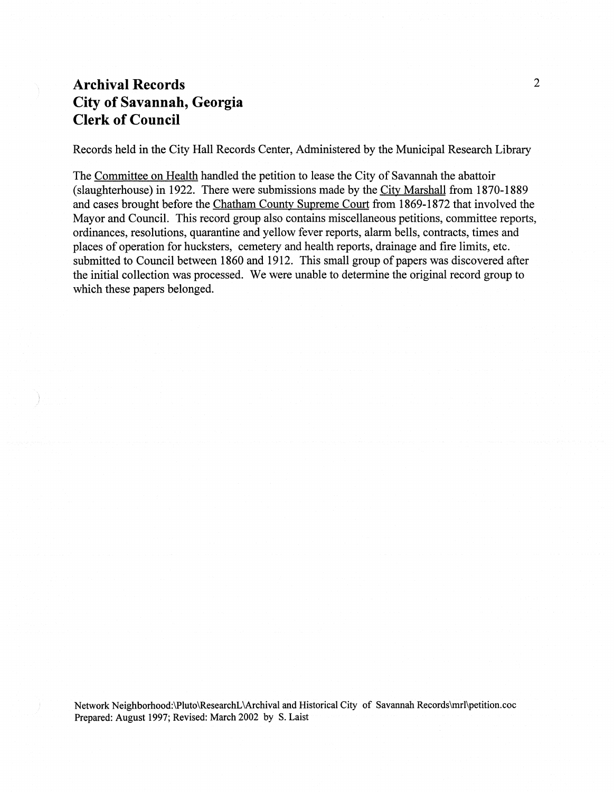Records held in the City Hall Records Center, Administered by the Municipal Research Library

The Committee on Health handled the petition to lease the City of Savannah the abattoir (slaughterhouse) in 1922. There were submissions made by the City Marshall from 1870-1889 and cases brought before the Chatham County Supreme Court from 1869-1872 that involved the Mayor and Council. This record group also contains miscellaneous petitions, committee reports, ordinances, resolutions, quarantine and yellow fever reports, alarm bells, contracts, times and places of operation for hucksters, cemetery and health reports, drainage and fire limits, etc. submitted to Council between 1860 and 1912. This small group of papers was discovered after the initial collection was processed. We were unable to determine the original record group to which these papers belonged.

Network Neighborhood:\Pluto\ResearchL\Archival and Historical City of Savannah Records\mrl\petition.coc Prepared: August 1997; Revised: March 2002 by S. Laist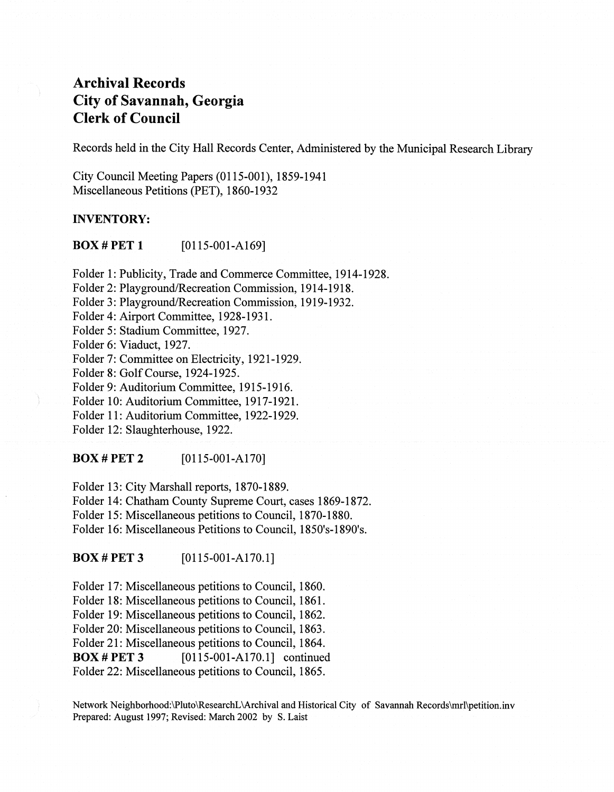Records held in the City Hall Records Center, Administered by the Municipal Research Library

City Council Meeting Papers (0115-001), 1859-1941 Miscellaneous Petitions (PET), 1860-1932

#### INVENTORY:

**BOX # PET 1** [0115-001-A169]

Folder 1: Publicity, Trade and Commerce Committee, 1914-1928.

Folder 2: Playground/Recreation Commission, 1914-1918.

Folder 3: Playground/Recreation Commission, 1919-1932.

Folder 4: Airport Committee, 1928-1931.

Folder 5: Stadium Committee, 1927.

Folder 6: Viaduct, 1927.

Folder 7: Committee on Electricity, 1921-1929.

Folder 8: GolfCourse, 1924-1925.

Folder 9: Auditorium Committee, 1915-1916.

Folder 10: Auditorium Committee, 1917-1921.

Folder 11: Auditorium Committee, 1922-1929.

Folder 12: Slaughterhouse, 1922.

#### **BOX # PET 2** [0115-001-A170]

Folder 13: City Marshall reports, 1870-1889. Folder 14: Chatham County Supreme Court, cases 1869-1872. Folder 15: Miscellaneous petitions to Council, 1870-1880.

Folder 16: Miscellaneous Petitions to Council, 1850's-1890's.

 $\bf{BOX}$  #  $\bf{PET 3}$  [0115-001-A170.1]

Folder 17: Miscellaneous petitions to Council, 1860. Folder 18: Miscellaneous petitions to Council, 1861. Folder 19: Miscellaneous petitions to Council, 1862. Folder 20: Miscellaneous petitions to Council, 1863. Folder 21: Miscellaneous petitions to Council, 1864. **BOX # PET 3** [0115-001-A170.1] continued Folder 22: Miscellaneous petitions to Council, 1865.

Network Neighborhood:\Pluto\ResearchL\Archival and Historical City of Savannah Records\mrl\petition.inv Prepared: August 1997; Revised: March 2002 by S. Laist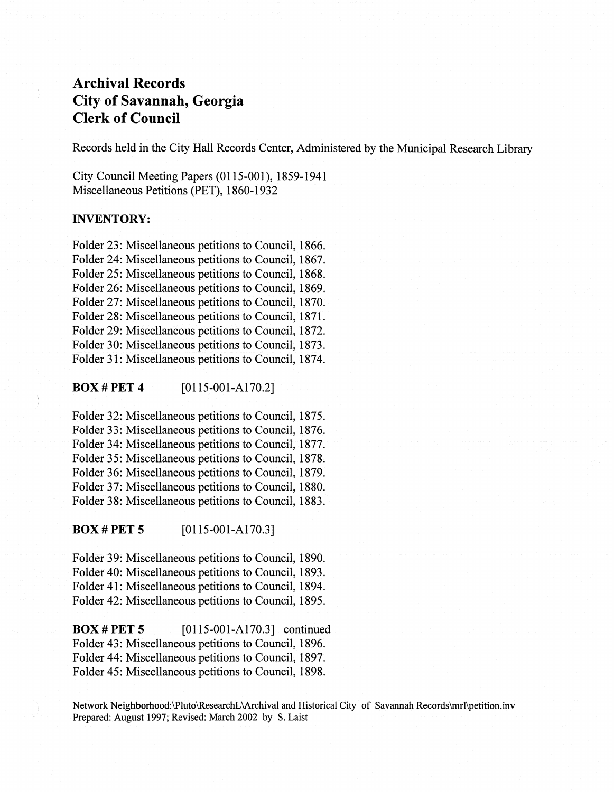Records held in the City Hall Records Center, Administered by the Municipal Research Library

City Council Meeting Papers (0115-001), 1859-1941 Miscellaneous Petitions (PET), 1860-1932

#### INVENTORY:

Folder 23: Miscellaneous petitions to Council, 1866. Folder 24: Miscellaneous petitions to Council, 1867. Folder 25: Miscellaneous petitions to Council, 1868. Folder 26: Miscellaneous petitions to Council, 1869. Folder 27: Miscellaneous petitions to Council, 1870. Folder 28: Miscellaneous petitions to Council, 1871. Folder 29: Miscellaneous petitions to Council, 1872. Folder 30: Miscellaneous petitions to Council, 1873. Folder 31: Miscellaneous petitions to Council, 1874.

**BOX # PET 4**  $[0115-001-A170.2]$ 

Folder 32: Miscellaneous petitions to Council, 1875. Folder 33: Miscellaneous petitions to Council, 1876. Folder 34: Miscellaneous petitions to Council, 1877. Folder 35: Miscellaneous petitions to Council, 1878. Folder 36: Miscellaneous petitions to Council, 1879. Folder 37: Miscellaneous petitions to Council, 1880. Folder 38: Miscellaneous petitions to Council, 1883.

**BOX # PET 5**  $[0115-001-A170.3]$ 

Folder 39: Miscellaneous petitions to Council, 1890. Folder 40: Miscellaneous petitions to Council, 1893. Folder 41: Miscellaneous petitions to Council, 1894. Folder 42: Miscellaneous petitions to Council, 1895.

**BOX # PET 5** [0115-001-A170.3] continued Folder 43: Miscellaneous petitions to Council, 1896. Folder 44: Miscellaneous petitions to Council, 1897. Folder 45: Miscellaneous petitions to Council, 1898.

Network Neighborhood:\Pluto\ResearchL\Archival and Historical City of Savannah Records\mrl\petition.inv Prepared: August 1997; Revised: March 2002 by S. Laist